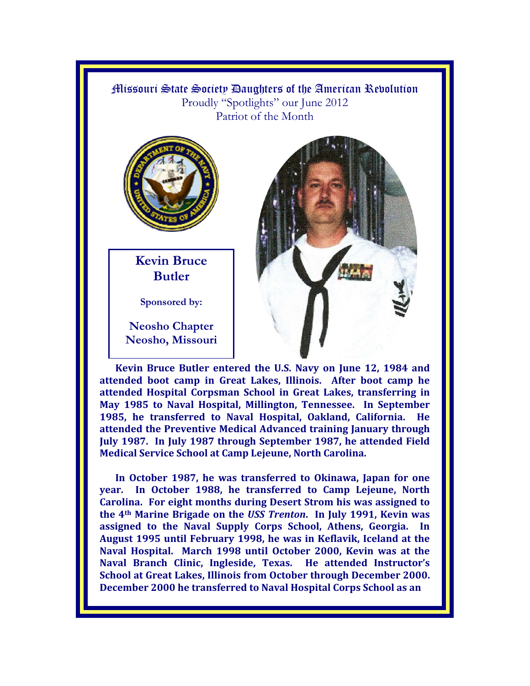Missouri State Society Daughters of the American Revolution Proudly "Spotlights" our June 2012 Patriot of the Month



**Kevin Bruce Butler** 

**Sponsored by:** 

**Neosho Chapter Neosho, Missouri** 



**Kevin Bruce Butler entered the U.S. Navy on June 12, 1984 and attended boot camp in Great Lakes, Illinois. After boot camp he attended Hospital Corpsman School in Great Lakes, transferring in May 1985 to Naval Hospital, Millington, Tennessee. In September 1985, he transferred to Naval Hospital, Oakland, California. He attended the Preventive Medical Advanced training January through July 1987. In July 1987 through September 1987, he attended Field Medical Service School at Camp Lejeune, North Carolina.** 

**In October 1987, he was transferred to Okinawa, Japan for one year. In October 1988, he transferred to Camp Lejeune, North Carolina. For eight months during Desert Strom his was assigned to the 4th Marine Brigade on the** *USS Trenton***. In July 1991, Kevin was assigned to the Naval Supply Corps School, Athens, Georgia. In August 1995 until February 1998, he was in Keflavik, Iceland at the Naval Hospital. March 1998 until October 2000, Kevin was at the Naval Branch Clinic, Ingleside, Texas. He attended Instructor's School at Great Lakes, Illinois from October through December 2000. December 2000 he transferred to Naval Hospital Corps School as an**